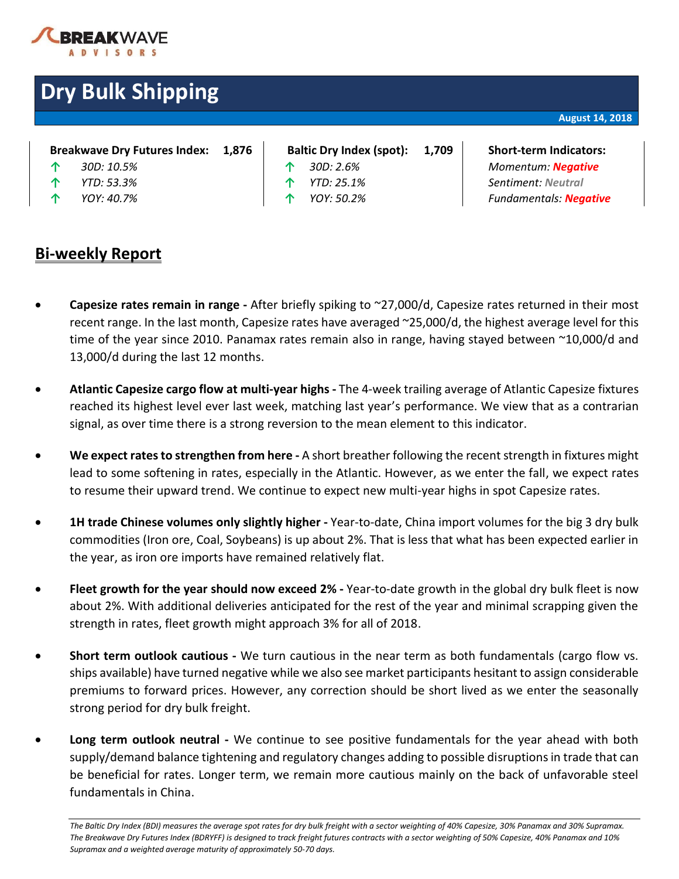

# **Dry Bulk Shipping**

| Breakwave Dry Futures Index: |  |  |  | 1,876 |
|------------------------------|--|--|--|-------|
|------------------------------|--|--|--|-------|

- 
- 
- 
- **Baltic Dry Index (spot): 1,709 | Short-term Indicators:** 
	-
	-
	-

### **Bi-weekly Report**

**↑** *30D: 10.5%* **↑** *30D: 2.6% Momentum: Negative* **↑** *YTD: 53.3%* **↑** *YTD: 25.1% Sentiment: Neutral* **↑** *YOY: 40.7%* **↑** *YOY: 50.2% Fundamentals: Negative*

- **Capesize rates remain in range -** After briefly spiking to ~27,000/d, Capesize rates returned in their most recent range. In the last month, Capesize rates have averaged ~25,000/d, the highest average level for this time of the year since 2010. Panamax rates remain also in range, having stayed between ~10,000/d and 13,000/d during the last 12 months.
- **Atlantic Capesize cargo flow at multi-year highs -** The 4-week trailing average of Atlantic Capesize fixtures reached its highest level ever last week, matching last year's performance. We view that as a contrarian signal, as over time there is a strong reversion to the mean element to this indicator.
- **We expect rates to strengthen from here -** A short breather following the recent strength in fixtures might lead to some softening in rates, especially in the Atlantic. However, as we enter the fall, we expect rates to resume their upward trend. We continue to expect new multi-year highs in spot Capesize rates.
- **1H trade Chinese volumes only slightly higher -** Year-to-date, China import volumes for the big 3 dry bulk commodities (Iron ore, Coal, Soybeans) is up about 2%. That is less that what has been expected earlier in the year, as iron ore imports have remained relatively flat.
- **Fleet growth for the year should now exceed 2% -** Year-to-date growth in the global dry bulk fleet is now about 2%. With additional deliveries anticipated for the rest of the year and minimal scrapping given the strength in rates, fleet growth might approach 3% for all of 2018.
- **Short term outlook cautious -** We turn cautious in the near term as both fundamentals (cargo flow vs. ships available) have turned negative while we also see market participants hesitant to assign considerable premiums to forward prices. However, any correction should be short lived as we enter the seasonally strong period for dry bulk freight.
- **Long term outlook neutral -** We continue to see positive fundamentals for the year ahead with both supply/demand balance tightening and regulatory changes adding to possible disruptions in trade that can be beneficial for rates. Longer term, we remain more cautious mainly on the back of unfavorable steel fundamentals in China.

*The Baltic Dry Index (BDI) measures the average spot rates for dry bulk freight with a sector weighting of 40% Capesize, 30% Panamax and 30% Supramax. The Breakwave Dry Futures Index (BDRYFF) is designed to track freight futures contracts with a sector weighting of 50% Capesize, 40% Panamax and 10% Supramax and a weighted average maturity of approximately 50-70 days.*